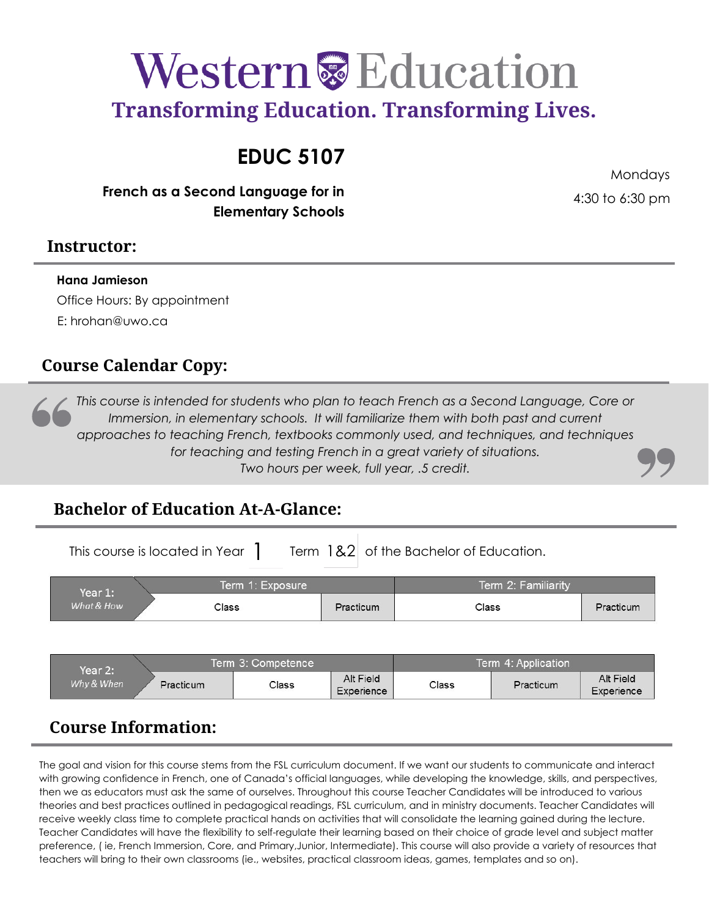# Western<sup>&</sup> Education

**Transforming Education. Transforming Lives.**

## **EDUC 5107**

**French as a Second Language for in Elementary Schools**

Mondays 4:30 to 6:30 pm

### **Instructor:**

#### **Hana Jamieson**

Office Hours: By appointment E: [hrohan@uwo.ca](mailto:hrohan@uwo.ca)

### **Course Calendar Copy:**

*This course is intended for students who plan to teach French as a Second Language, Core or Immersion, in elementary schools. It will familiarize them with both past and current approaches to teaching French, textbooks commonly used, and techniques, and techniques for teaching and testing French in a great variety of situations. Two hours per week, full year, .5 credit.* 

### **Bachelor of Education At-A-Glance:**

This course is located in Year  $\int$  Term 1&2 of the Bachelor of Education.

| Year 1:    | Term 1: Exposure |           | Term 2: Familiarity |           |
|------------|------------------|-----------|---------------------|-----------|
| What & How | $\cap$ lass      | Practicum | Class               | Practicum |

| Year 2:    |           | Term 3: Competence |                         | Term 4: Application |           |                         |
|------------|-----------|--------------------|-------------------------|---------------------|-----------|-------------------------|
| Why & When | Practicum | Class              | Alt Field<br>Experience | Class               | Practicum | Alt Field<br>Experience |

### **Course Information:**

The goal and vision for this course stems from the FSL curriculum document. If we want our students to communicate and interact with growing confidence in French, one of Canada's official languages, while developing the knowledge, skills, and perspectives, then we as educators must ask the same of ourselves. Throughout this course Teacher Candidates will be introduced to various theories and best practices outlined in pedagogical readings, FSL curriculum, and in ministry documents. Teacher Candidates will receive weekly class time to complete practical hands on activities that will consolidate the learning gained during the lecture. Teacher Candidates will have the flexibility to self-regulate their learning based on their choice of grade level and subject matter preference, ( ie, French Immersion, Core, and Primary,Junior, Intermediate). This course will also provide a variety of resources that teachers will bring to their own classrooms (ie., websites, practical classroom ideas, games, templates and so on).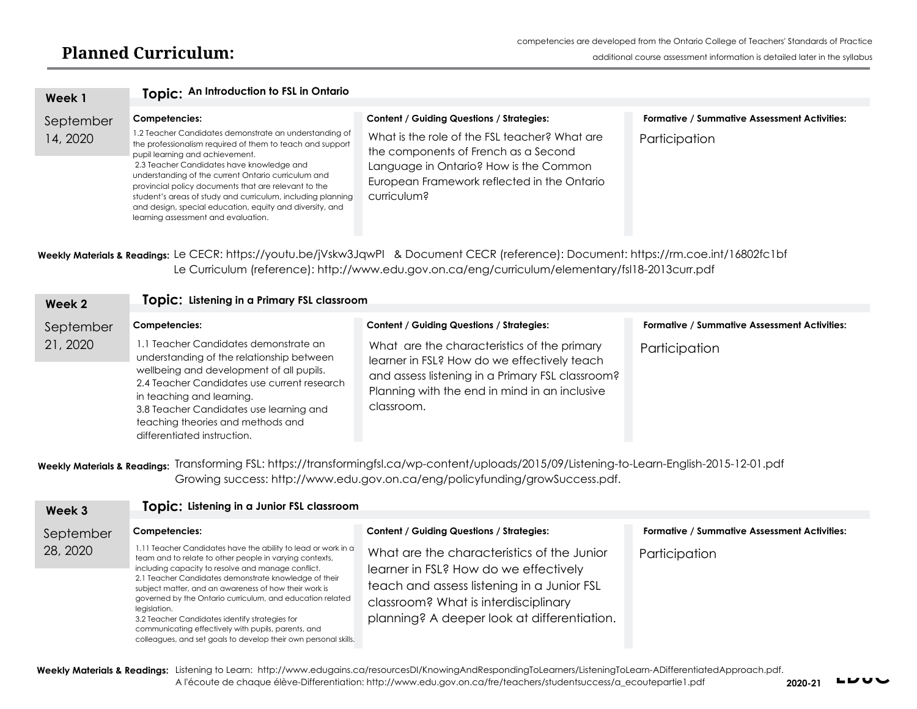| Week 1                | Topic: An Introduction to FSL in Ontario                                                                                                                                                                                                                                                                                                                                                                                                                                                              |                                                                                                                                                                                                                                                   |                                                                      |
|-----------------------|-------------------------------------------------------------------------------------------------------------------------------------------------------------------------------------------------------------------------------------------------------------------------------------------------------------------------------------------------------------------------------------------------------------------------------------------------------------------------------------------------------|---------------------------------------------------------------------------------------------------------------------------------------------------------------------------------------------------------------------------------------------------|----------------------------------------------------------------------|
| September<br>14, 2020 | Competencies:<br>1.2 Teacher Candidates demonstrate an understanding of<br>the professionalism required of them to teach and support<br>pupil learning and achievement.<br>2.3 Teacher Candidates have knowledge and<br>understanding of the current Ontario curriculum and<br>provincial policy documents that are relevant to the<br>student's areas of study and curriculum, including planning<br>and design, special education, equity and diversity, and<br>learning assessment and evaluation. | <b>Content / Guiding Questions / Strategies:</b><br>What is the role of the FSL teacher? What are<br>the components of French as a Second<br>Language in Ontario? How is the Common<br>European Framework reflected in the Ontario<br>curriculum? | <b>Formative / Summative Assessment Activities:</b><br>Participation |

**Weekly Materials & Readings:**  Le CECR: [https://youtu.be/jVskw3JqwPI &](https://youtu.be/jVskw3JqwPI) Document CECR (reference): Document: <https://rm.coe.int/16802fc1bf> Le Curriculum (reference):<http://www.edu.gov.on.ca/eng/curriculum/elementary/fsl18-2013curr.pdf>

| Week 2                | Topic: Listening in a Primary FSL classroom                                                                                                                                                                                                                            |                                                                                                                                                                                                                                                                   |                                                                      |
|-----------------------|------------------------------------------------------------------------------------------------------------------------------------------------------------------------------------------------------------------------------------------------------------------------|-------------------------------------------------------------------------------------------------------------------------------------------------------------------------------------------------------------------------------------------------------------------|----------------------------------------------------------------------|
| September<br>21, 2020 | Competencies:<br>1.1 Teacher Candidates demonstrate an<br>understanding of the relationship between<br>wellbeing and development of all pupils.<br>2.4 Teacher Candidates use current research<br>in teaching and learning.<br>3.8 Teacher Candidates use learning and | <b>Content / Guiding Questions / Strategies:</b><br>What are the characteristics of the primary<br>learner in FSL? How do we effectively teach<br>and assess listening in a Primary FSL classroom?<br>Planning with the end in mind in an inclusive<br>classroom. | <b>Formative / Summative Assessment Activities:</b><br>Participation |
|                       | teaching theories and methods and<br>differentiated instruction.                                                                                                                                                                                                       |                                                                                                                                                                                                                                                                   |                                                                      |

**Weekly Materials & Readings:**  Transforming FSL:<https://transformingfsl.ca/wp-content/uploads/2015/09/Listening-to-Learn-English-2015-12-01.pdf> Growing success: [http://www.edu.gov.on.ca/eng/policyfunding/growSuccess.pdf.](http://www.edu.gov.on.ca/eng/policyfunding/growSuccess.pdf)

| Week 3    | Topic: Listening in a Junior FSL classroom                                                                                                                                                                                                                                                                                                                                                                                                                                                                                                                |                                                                                                                                                                                                                          |                                                     |  |  |
|-----------|-----------------------------------------------------------------------------------------------------------------------------------------------------------------------------------------------------------------------------------------------------------------------------------------------------------------------------------------------------------------------------------------------------------------------------------------------------------------------------------------------------------------------------------------------------------|--------------------------------------------------------------------------------------------------------------------------------------------------------------------------------------------------------------------------|-----------------------------------------------------|--|--|
| September | Competencies:                                                                                                                                                                                                                                                                                                                                                                                                                                                                                                                                             | <b>Content / Guiding Questions / Strategies:</b>                                                                                                                                                                         | <b>Formative / Summative Assessment Activities:</b> |  |  |
| 28, 2020  | 1.11 Teacher Candidates have the ability to lead or work in a<br>team and to relate to other people in varying contexts,<br>including capacity to resolve and manage conflict.<br>2.1 Teacher Candidates demonstrate knowledge of their<br>subject matter, and an awareness of how their work is<br>governed by the Ontario curriculum, and education related<br>legislation.<br>3.2 Teacher Candidates identify strategies for<br>communicating effectively with pupils, parents, and<br>colleagues, and set goals to develop their own personal skills. | What are the characteristics of the Junior<br>learner in FSL? How do we effectively<br>teach and assess listening in a Junior FSL<br>classroom? What is interdisciplinary<br>planning? A deeper look at differentiation. | Participation                                       |  |  |

**Weekly Materials & Readings:**  Listening to Learn: [http://www.edugains.ca/resourcesDI/KnowingAndRespondingToLearners/ListeningToLearn-ADifferentiatedApproach.pdf.](http://www.edugains.ca/resourcesDI/KnowingAndRespondingToLearners/ListeningToLearn-ADifferentiatedApproach.pdf)  A l'écoute de chaque élève-Differentiation: [http://www.edu.gov.on.ca/fre/teachers/studentsuccess/a\\_ecoutepartie1.pdf](http://www.edu.gov.on.ca/fre/teachers/studentsuccess/a_ecoutepartie1.pdf)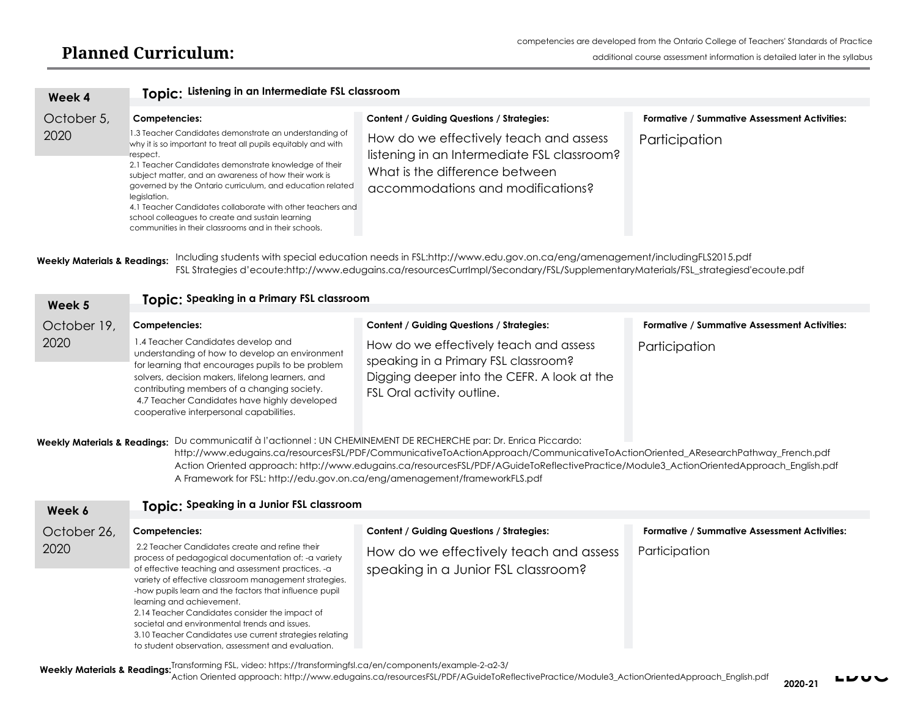| Week 4             | Topic: Listening in an Intermediate FSL classroom                                                                                                                                                                                                                                                                                                                                                                                                                                                                              |                                                                                                                                                                                                                  |                                                                      |
|--------------------|--------------------------------------------------------------------------------------------------------------------------------------------------------------------------------------------------------------------------------------------------------------------------------------------------------------------------------------------------------------------------------------------------------------------------------------------------------------------------------------------------------------------------------|------------------------------------------------------------------------------------------------------------------------------------------------------------------------------------------------------------------|----------------------------------------------------------------------|
| October 5,<br>2020 | Competencies:<br>1.3 Teacher Candidates demonstrate an understanding of<br>why it is so important to treat all pupils equitably and with<br>respect.<br>2.1 Teacher Candidates demonstrate knowledge of their<br>subject matter, and an awareness of how their work is<br>governed by the Ontario curriculum, and education related<br>legislation.<br>4.1 Teacher Candidates collaborate with other teachers and<br>school colleagues to create and sustain learning<br>communities in their classrooms and in their schools. | <b>Content / Guiding Questions / Strategies:</b><br>How do we effectively teach and assess<br>listening in an Intermediate FSL classroom?<br>What is the difference between<br>accommodations and modifications? | <b>Formative / Summative Assessment Activities:</b><br>Participation |

**Weekly Materials & Readings:**  Including students with special education needs in FSL:<http://www.edu.gov.on.ca/eng/amenagement/includingFLS2015.pdf> FSL Strategies d'ecoute[:http://www.edugains.ca/resourcesCurrImpl/Secondary/FSL/SupplementaryMaterials/FSL\\_strategiesd'ecoute.pdf](http://www.edugains.ca/resourcesCurrImpl/Secondary/FSL/SupplementaryMaterials/FSL_strategiesd) 

| Week 5                                            | Topic: Speaking in a Primary FSL classroom                                                                                                                                                                                                                                                                                                                                                                                                                                                                                       |                                                                                                                                                                                                                                                                                                                                                                     |                                                     |
|---------------------------------------------------|----------------------------------------------------------------------------------------------------------------------------------------------------------------------------------------------------------------------------------------------------------------------------------------------------------------------------------------------------------------------------------------------------------------------------------------------------------------------------------------------------------------------------------|---------------------------------------------------------------------------------------------------------------------------------------------------------------------------------------------------------------------------------------------------------------------------------------------------------------------------------------------------------------------|-----------------------------------------------------|
|                                                   |                                                                                                                                                                                                                                                                                                                                                                                                                                                                                                                                  |                                                                                                                                                                                                                                                                                                                                                                     |                                                     |
| October 19,                                       | Competencies:                                                                                                                                                                                                                                                                                                                                                                                                                                                                                                                    | <b>Content / Guiding Questions / Strategies:</b>                                                                                                                                                                                                                                                                                                                    | <b>Formative / Summative Assessment Activities:</b> |
| 2020                                              | 1.4 Teacher Candidates develop and<br>understanding of how to develop an environment<br>for learning that encourages pupils to be problem                                                                                                                                                                                                                                                                                                                                                                                        | How do we effectively teach and assess<br>speaking in a Primary FSL classroom?                                                                                                                                                                                                                                                                                      | Participation                                       |
|                                                   | solvers, decision makers, lifelong learners, and<br>contributing members of a changing society.<br>4.7 Teacher Candidates have highly developed<br>cooperative interpersonal capabilities.                                                                                                                                                                                                                                                                                                                                       | Digging deeper into the CEFR. A look at the<br>FSL Oral activity outline.                                                                                                                                                                                                                                                                                           |                                                     |
| <b>Weekly Materials &amp; Readings:</b><br>Week 6 | A Framework for FSL: http://edu.gov.on.ca/eng/amenagement/frameworkFLS.pdf<br>Topic: Speaking in a Junior FSL classroom                                                                                                                                                                                                                                                                                                                                                                                                          | Du communicatif à l'actionnel : UN CHEMINEMENT DE RECHERCHE par: Dr. Enrica Piccardo:<br>http://www.edugains.ca/resourcesFSL/PDF/CommunicativeToActionApproach/CommunicativeToActionOriented_AResearchPathway_French.pdf<br>Action Oriented approach: http://www.edugains.ca/resourcesFSL/PDF/AGuideToReflectivePractice/Module3_ActionOrientedApproach_English.pdf |                                                     |
| October 26,                                       | Competencies:                                                                                                                                                                                                                                                                                                                                                                                                                                                                                                                    | <b>Content / Guiding Questions / Strategies:</b>                                                                                                                                                                                                                                                                                                                    | <b>Formative / Summative Assessment Activities:</b> |
|                                                   |                                                                                                                                                                                                                                                                                                                                                                                                                                                                                                                                  |                                                                                                                                                                                                                                                                                                                                                                     |                                                     |
| 2020                                              | 2.2 Teacher Candidates create and refine their<br>process of pedagogical documentation of: - a variety<br>of effective teaching and assessment practices. -a<br>variety of effective classroom management strategies.<br>-how pupils learn and the factors that influence pupil<br>learning and achievement.<br>2.14 Teacher Candidates consider the impact of<br>societal and environmental trends and issues.<br>3.10 Teacher Candidates use current strategies relating<br>to student observation, assessment and evaluation. | How do we effectively teach and assess<br>speaking in a Junior FSL classroom?                                                                                                                                                                                                                                                                                       | Participation                                       |

Weekly Materials & Readings:<sup>Transforming FSL, video: https://transformingfsl.ca/en/components/example-2-a2-3/<br>Weekly Materials & Readings: Action Oriented approach: http://www.edugains.ca/resourcesFSL/PDF/AGuideToReflect</sup>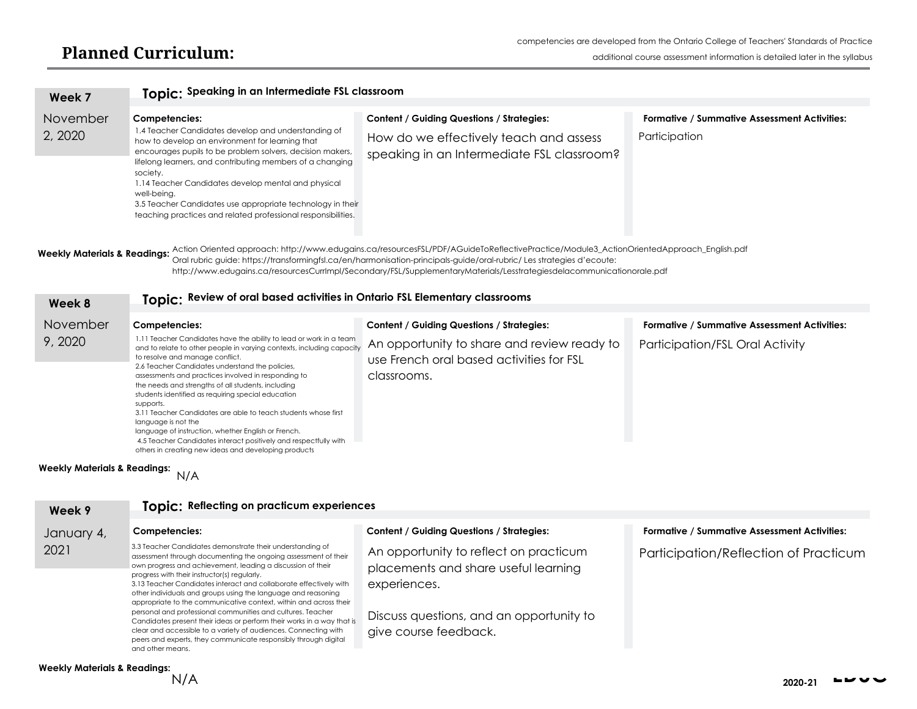| Week 7                                  | Topic: Speaking in an Intermediate FSL classroom                                                                                            |                                                                                                                                                                                                                                                                                                                                                                                           |                                                     |
|-----------------------------------------|---------------------------------------------------------------------------------------------------------------------------------------------|-------------------------------------------------------------------------------------------------------------------------------------------------------------------------------------------------------------------------------------------------------------------------------------------------------------------------------------------------------------------------------------------|-----------------------------------------------------|
|                                         |                                                                                                                                             |                                                                                                                                                                                                                                                                                                                                                                                           |                                                     |
| <b>November</b>                         | Competencies:                                                                                                                               | <b>Content / Guiding Questions / Strategies:</b>                                                                                                                                                                                                                                                                                                                                          | Formative / Summative Assessment Activities:        |
| 2, 2020                                 | 1.4 Teacher Candidates develop and understanding of<br>how to develop an environment for learning that                                      | How do we effectively teach and assess                                                                                                                                                                                                                                                                                                                                                    | Participation                                       |
|                                         | encourages pupils to be problem solvers, decision makers,                                                                                   | speaking in an Intermediate FSL classroom?                                                                                                                                                                                                                                                                                                                                                |                                                     |
|                                         | lifelong learners, and contributing members of a changing                                                                                   |                                                                                                                                                                                                                                                                                                                                                                                           |                                                     |
|                                         | society.<br>1.14 Teacher Candidates develop mental and physical                                                                             |                                                                                                                                                                                                                                                                                                                                                                                           |                                                     |
|                                         | well-being.                                                                                                                                 |                                                                                                                                                                                                                                                                                                                                                                                           |                                                     |
|                                         | 3.5 Teacher Candidates use appropriate technology in their<br>teaching practices and related professional responsibilities.                 |                                                                                                                                                                                                                                                                                                                                                                                           |                                                     |
|                                         |                                                                                                                                             |                                                                                                                                                                                                                                                                                                                                                                                           |                                                     |
| <b>Weekly Materials &amp; Readings:</b> |                                                                                                                                             | Action Oriented approach: http://www.edugains.ca/resourcesFSL/PDF/AGuideToReflectivePractice/Module3_ActionOrientedApproach_English.pdf<br>Oral rubric guide: https://transformingfsl.ca/en/harmonisation-principals-guide/oral-rubric/ Les strategies d'ecoute:<br>http://www.edugains.ca/resourcesCurrImpl/Secondary/FSL/SupplementaryMaterials/Lesstrategiesdelacommunicationorale.pdf |                                                     |
|                                         | Topic: Review of oral based activities in Ontario FSL Elementary classrooms                                                                 |                                                                                                                                                                                                                                                                                                                                                                                           |                                                     |
| Week 8                                  |                                                                                                                                             |                                                                                                                                                                                                                                                                                                                                                                                           |                                                     |
| November                                | Competencies:                                                                                                                               | <b>Content / Guiding Questions / Strategies:</b>                                                                                                                                                                                                                                                                                                                                          | <b>Formative / Summative Assessment Activities:</b> |
| 9,2020                                  | 1.11 Teacher Candidates have the ability to lead or work in a team<br>and to relate to other people in varying contexts, including capacity | An opportunity to share and review ready to                                                                                                                                                                                                                                                                                                                                               | Participation/FSL Oral Activity                     |
|                                         | to resolve and manage conflict.<br>2.6 Teacher Candidates understand the policies,                                                          | use French oral based activities for FSL                                                                                                                                                                                                                                                                                                                                                  |                                                     |
|                                         | assessments and practices involved in responding to                                                                                         | classrooms.                                                                                                                                                                                                                                                                                                                                                                               |                                                     |
|                                         | the needs and strengths of all students, including<br>students identified as requiring special education                                    |                                                                                                                                                                                                                                                                                                                                                                                           |                                                     |
|                                         | supports.                                                                                                                                   |                                                                                                                                                                                                                                                                                                                                                                                           |                                                     |
|                                         | 3.11 Teacher Candidates are able to teach students whose first<br>language is not the                                                       |                                                                                                                                                                                                                                                                                                                                                                                           |                                                     |
|                                         | language of instruction, whether English or French.                                                                                         |                                                                                                                                                                                                                                                                                                                                                                                           |                                                     |
|                                         | 4.5 Teacher Candidates interact positively and respectfully with<br>others in creating new ideas and developing products                    |                                                                                                                                                                                                                                                                                                                                                                                           |                                                     |

**Weekly Materials & Readings:**  N/A

| Week 9     | Topic: Reflecting on practicum experiences                                                                                                                                                                                                                                                                                                                                                                                                                                                                                                                                                                                                                                                                                                               |                                                                                                                                                                     |                                                     |
|------------|----------------------------------------------------------------------------------------------------------------------------------------------------------------------------------------------------------------------------------------------------------------------------------------------------------------------------------------------------------------------------------------------------------------------------------------------------------------------------------------------------------------------------------------------------------------------------------------------------------------------------------------------------------------------------------------------------------------------------------------------------------|---------------------------------------------------------------------------------------------------------------------------------------------------------------------|-----------------------------------------------------|
| January 4, | Competencies:                                                                                                                                                                                                                                                                                                                                                                                                                                                                                                                                                                                                                                                                                                                                            | <b>Content / Guiding Questions / Strategies:</b>                                                                                                                    | <b>Formative / Summative Assessment Activities:</b> |
| 2021       | 3.3 Teacher Candidates demonstrate their understanding of<br>assessment through documenting the ongoing assessment of their<br>own progress and achievement, leading a discussion of their<br>progress with their instructor(s) regularly.<br>3.13 Teacher Candidates interact and collaborate effectively with<br>other individuals and groups using the language and reasoning<br>appropriate to the communicative context, within and across their<br>personal and professional communities and cultures. Teacher<br>Candidates present their ideas or perform their works in a way that is<br>clear and accessible to a variety of audiences. Connecting with<br>peers and experts, they communicate responsibly through digital<br>and other means. | An opportunity to reflect on practicum<br>placements and share useful learning<br>experiences.<br>Discuss questions, and an opportunity to<br>give course feedback. | Participation/Reflection of Practicum               |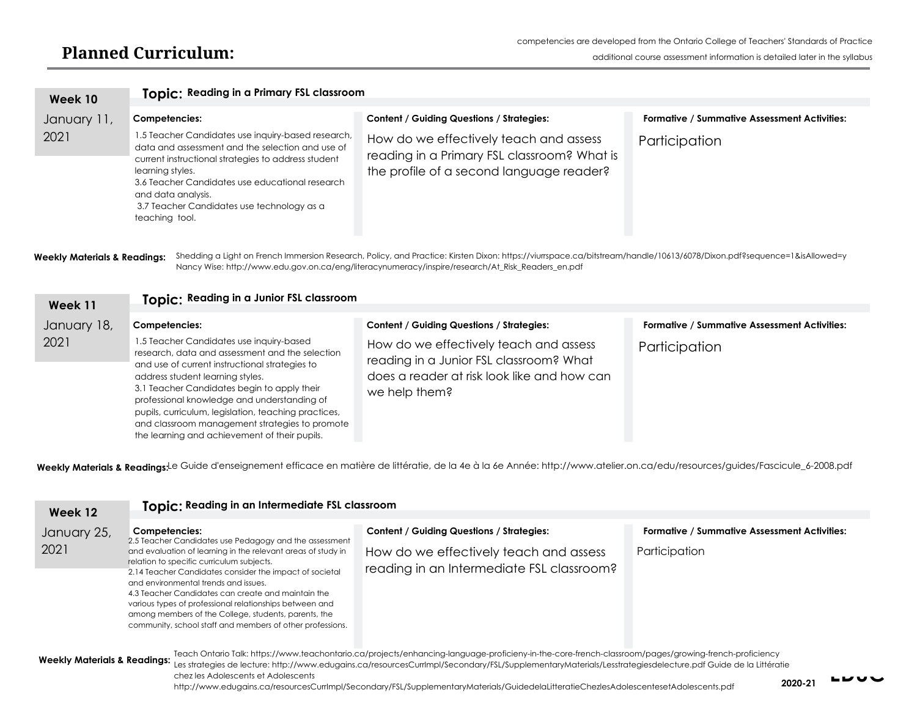| Week 10     | Topic: Reading in a Primary FSL classroom                                                                                                                                                                                                                                                                                  |                                                                                                                                   |                                                     |
|-------------|----------------------------------------------------------------------------------------------------------------------------------------------------------------------------------------------------------------------------------------------------------------------------------------------------------------------------|-----------------------------------------------------------------------------------------------------------------------------------|-----------------------------------------------------|
|             |                                                                                                                                                                                                                                                                                                                            |                                                                                                                                   |                                                     |
| January 11, | Competencies:                                                                                                                                                                                                                                                                                                              | <b>Content / Guiding Questions / Strategies:</b>                                                                                  | <b>Formative / Summative Assessment Activities:</b> |
| 2021        | 1.5 Teacher Candidates use inquiry-based research,<br>data and assessment and the selection and use of<br>current instructional strategies to address student<br>learning styles.<br>3.6 Teacher Candidates use educational research<br>and data analysis.<br>3.7 Teacher Candidates use technology as a<br>teaching tool. | How do we effectively teach and assess<br>reading in a Primary FSL classroom? What is<br>the profile of a second language reader? | Participation                                       |

**Weekly Materials & Readings:** Shedding a Light on French Immersion Research, Policy, and Practice: Kirsten Dixon: https://viurrspace.ca/bitstream/handle/10613/6078/Dixon.pdf?sequence=1&isAllowed=y Nancy Wise: [http://www.edu.gov.on.ca/eng/literacynumeracy/inspire/research/At\\_Risk\\_Readers\\_en.pdf](http://www.edu.gov.on.ca/eng/literacynumeracy/inspire/research/At_Risk_Readers_en.pdf)

| Week 11     | Topic: Reading in a Junior FSL classroom                                                                                                                                                                                                                                                                                                                                                                                                   |                                                                                                                                                   |                                                     |  |  |
|-------------|--------------------------------------------------------------------------------------------------------------------------------------------------------------------------------------------------------------------------------------------------------------------------------------------------------------------------------------------------------------------------------------------------------------------------------------------|---------------------------------------------------------------------------------------------------------------------------------------------------|-----------------------------------------------------|--|--|
| January 18, | Competencies:                                                                                                                                                                                                                                                                                                                                                                                                                              | <b>Content / Guiding Questions / Strategies:</b>                                                                                                  | <b>Formative / Summative Assessment Activities:</b> |  |  |
| 2021        | 1.5 Teacher Candidates use inquiry-based<br>research, data and assessment and the selection<br>and use of current instructional strategies to<br>address student learning styles.<br>3.1 Teacher Candidates begin to apply their<br>professional knowledge and understanding of<br>pupils, curriculum, legislation, teaching practices,<br>and classroom management strategies to promote<br>the learning and achievement of their pupils. | How do we effectively teach and assess<br>reading in a Junior FSL classroom? What<br>does a reader at risk look like and how can<br>we help them? | Participation                                       |  |  |

**Weekly Materials & Readings:**Le Guide d'enseignement efficace en matière de littératie, de la 4e à la 6e Année: [http://www.atelier.on.ca/edu/resources/guides/Fascicule\\_6-2008.pdf](http://www.atelier.on.ca/edu/resources/guides/Fascicule_6-2008.pdf)

| January 25,                             | Competencies:                                                                                                                                                                                                                                                                                                                                                                                                                                                                                                | <b>Content / Guiding Questions / Strategies:</b>                                                                                                                                                                                                                                                                                                                                                                                                            | <b>Formative / Summative Assessment Activities:</b> |
|-----------------------------------------|--------------------------------------------------------------------------------------------------------------------------------------------------------------------------------------------------------------------------------------------------------------------------------------------------------------------------------------------------------------------------------------------------------------------------------------------------------------------------------------------------------------|-------------------------------------------------------------------------------------------------------------------------------------------------------------------------------------------------------------------------------------------------------------------------------------------------------------------------------------------------------------------------------------------------------------------------------------------------------------|-----------------------------------------------------|
| 2021                                    | 2.5 Teacher Candidates use Pedagogy and the assessment<br>and evaluation of learning in the relevant areas of study in<br>relation to specific curriculum subjects.<br>2.14 Teacher Candidates consider the impact of societal<br>and environmental trends and issues.<br>4.3 Teacher Candidates can create and maintain the<br>various types of professional relationships between and<br>among members of the College, students, parents, the<br>community, school staff and members of other professions. | How do we effectively teach and assess<br>reading in an Intermediate FSL classroom?                                                                                                                                                                                                                                                                                                                                                                         | Participation                                       |
| <b>Weekly Materials &amp; Readings:</b> | chez les Adolescents et Adolescents                                                                                                                                                                                                                                                                                                                                                                                                                                                                          | Teach Ontario Talk: https://www.teachontario.ca/projects/enhancing-language-proficieny-in-the-core-french-classroom/pages/growing-french-proficiency<br>Les strategies de lecture: http://www.edugains.ca/resourcesCurrImpl/Secondary/FSL/SupplementaryMaterials/Lesstrategiesdelecture.pdf Guide de la Littératie<br>http://www.edugains.ca/resourcesCurrImpl/Secondary/FSL/SupplementaryMaterials/GuidedelaLitteratieChezlesAdolescentesetAdolescents.pdf | ᄂᅛᄔ<br>2020-21                                      |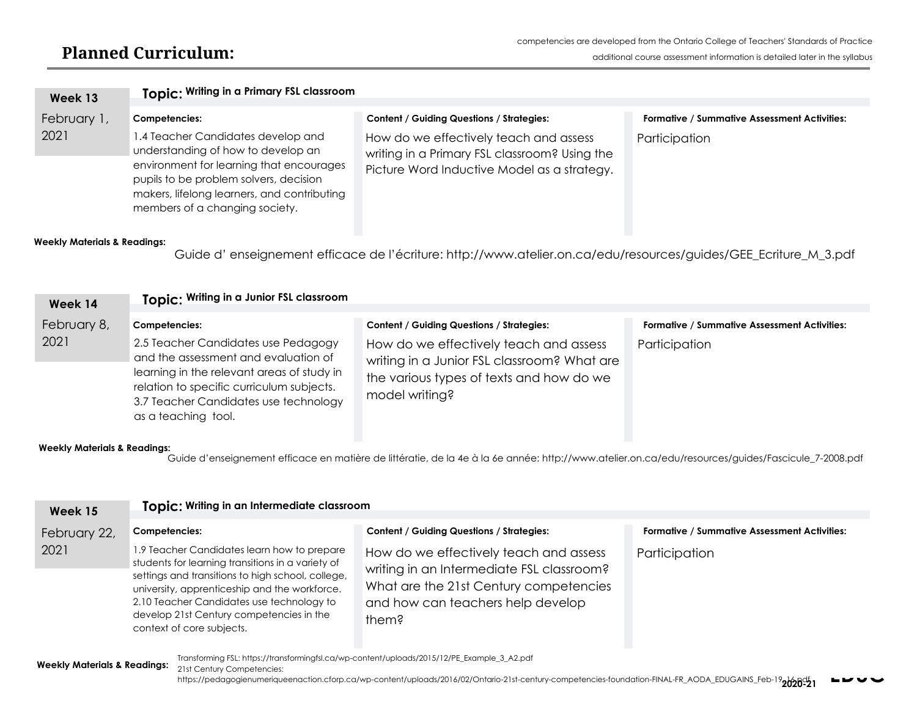| Week 13             | Topic: Writing in a Primary FSL classroom                                                                                                                                                                 |                                                                                              |                                                                      |  |  |  |
|---------------------|-----------------------------------------------------------------------------------------------------------------------------------------------------------------------------------------------------------|----------------------------------------------------------------------------------------------|----------------------------------------------------------------------|--|--|--|
| February 1,<br>2021 | Competencies:<br>1.4 Teacher Candidates develop and                                                                                                                                                       | <b>Content / Guiding Questions / Strategies:</b><br>How do we effectively teach and assess   | <b>Formative / Summative Assessment Activities:</b><br>Participation |  |  |  |
|                     | understanding of how to develop an<br>environment for learning that encourages<br>pupils to be problem solvers, decision<br>makers, lifelong learners, and contributing<br>members of a changing society. | writing in a Primary FSL classroom? Using the<br>Picture Word Inductive Model as a strategy. |                                                                      |  |  |  |

#### **Weekly Materials & Readings:**

Guide d' enseignement efficace de l'écriture: [http://www.atelier.on.ca/edu/resources/guides/GEE\\_Ecriture\\_M\\_3.pdf](http://www.atelier.on.ca/edu/resources/guides/GEE_Ecriture_M_3.pdf) 

| Topic: Writing in a Junior FSL classroom                                                                                                                                                                                         |                                                                                                                                                                                                         |                                                                      |  |
|----------------------------------------------------------------------------------------------------------------------------------------------------------------------------------------------------------------------------------|---------------------------------------------------------------------------------------------------------------------------------------------------------------------------------------------------------|----------------------------------------------------------------------|--|
| Competencies:<br>2.5 Teacher Candidates use Pedagogy<br>and the assessment and evaluation of<br>learning in the relevant areas of study in<br>relation to specific curriculum subjects.<br>3.7 Teacher Candidates use technology | <b>Content / Guiding Questions / Strategies:</b><br>How do we effectively teach and assess<br>writing in a Junior FSL classroom? What are<br>the various types of texts and how do we<br>model writing? | <b>Formative / Summative Assessment Activities:</b><br>Participation |  |
|                                                                                                                                                                                                                                  | as a teaching tool.                                                                                                                                                                                     |                                                                      |  |

#### **Weekly Materials & Readings:**

Guide d'enseignement efficace en matière de littératie, de la 4e à la 6e année: [http://www.atelier.on.ca/edu/resources/guides/Fascicule\\_7-2008.pdf](http://www.atelier.on.ca/edu/resources/guides/Fascicule_7-2008.pdf) 

| Week 15              | Topic: Writing in an Intermediate classroom                                                                                                                                                                                                                                                                                                   |                                                                                                                                                                                                                                 |                                                                      |  |
|----------------------|-----------------------------------------------------------------------------------------------------------------------------------------------------------------------------------------------------------------------------------------------------------------------------------------------------------------------------------------------|---------------------------------------------------------------------------------------------------------------------------------------------------------------------------------------------------------------------------------|----------------------------------------------------------------------|--|
| February 22,<br>2021 | Competencies:<br>1.9 Teacher Candidates learn how to prepare<br>students for learning transitions in a variety of<br>settings and transitions to high school, college,<br>university, apprenticeship and the workforce.<br>2.10 Teacher Candidates use technology to<br>develop 21st Century competencies in the<br>context of core subjects. | <b>Content / Guiding Questions / Strategies:</b><br>How do we effectively teach and assess<br>writing in an Intermediate FSL classroom?<br>What are the 21st Century competencies<br>and how can teachers help develop<br>them? | <b>Formative / Summative Assessment Activities:</b><br>Participation |  |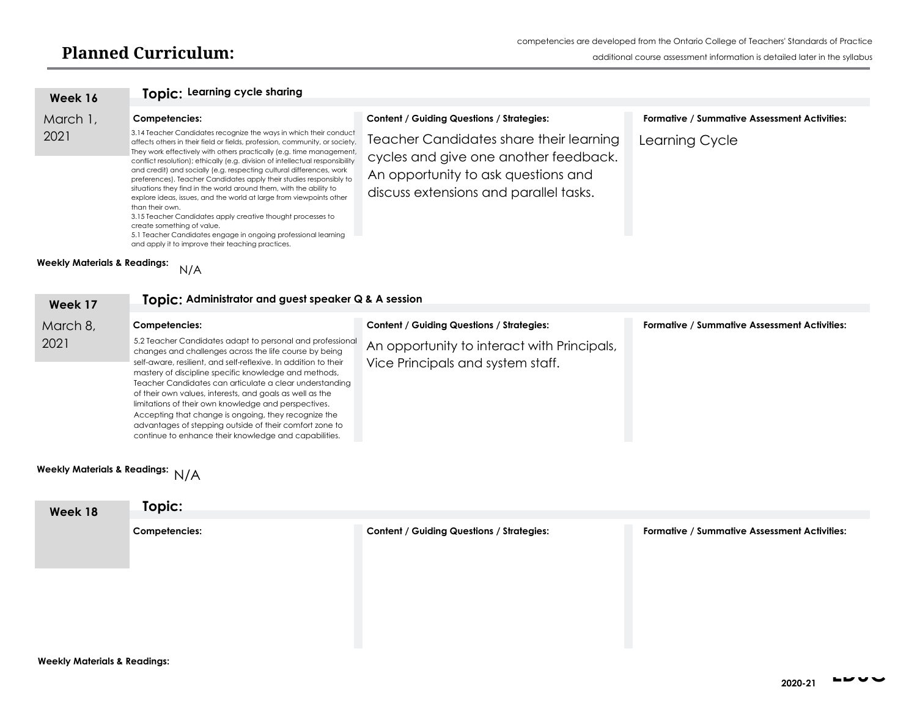| Week 16                                        | Topic: Learning cycle sharing                                                                                                                                                                                                                                                                                                                                                                                                                                                                                                                                                                                                                                                                                                                                                                                                                |                                                                                                                                                                   |                                                     |
|------------------------------------------------|----------------------------------------------------------------------------------------------------------------------------------------------------------------------------------------------------------------------------------------------------------------------------------------------------------------------------------------------------------------------------------------------------------------------------------------------------------------------------------------------------------------------------------------------------------------------------------------------------------------------------------------------------------------------------------------------------------------------------------------------------------------------------------------------------------------------------------------------|-------------------------------------------------------------------------------------------------------------------------------------------------------------------|-----------------------------------------------------|
|                                                |                                                                                                                                                                                                                                                                                                                                                                                                                                                                                                                                                                                                                                                                                                                                                                                                                                              |                                                                                                                                                                   |                                                     |
| March 1,                                       | Competencies:                                                                                                                                                                                                                                                                                                                                                                                                                                                                                                                                                                                                                                                                                                                                                                                                                                | <b>Content / Guiding Questions / Strategies:</b>                                                                                                                  | <b>Formative / Summative Assessment Activities:</b> |
| 2021                                           | 3.14 Teacher Candidates recognize the ways in which their conduct<br>affects others in their field or fields, profession, community, or society.<br>They work effectively with others practically (e.g. time management,<br>conflict resolution); ethically (e.g. division of intellectual responsibility<br>and credit) and socially (e.g. respecting cultural differences, work<br>preferences). Teacher Candidates apply their studies responsibly to<br>situations they find in the world around them, with the ability to<br>explore ideas, issues, and the world at large from viewpoints other<br>than their own.<br>3.15 Teacher Candidates apply creative thought processes to<br>create something of value.<br>5.1 Teacher Candidates engage in ongoing professional learning<br>and apply it to improve their teaching practices. | Teacher Candidates share their learning<br>cycles and give one another feedback.<br>An opportunity to ask questions and<br>discuss extensions and parallel tasks. | Learning Cycle                                      |
| <b>Weekly Materials &amp; Readings:</b><br>N/A |                                                                                                                                                                                                                                                                                                                                                                                                                                                                                                                                                                                                                                                                                                                                                                                                                                              |                                                                                                                                                                   |                                                     |

| Week 17  | Topic: Administrator and guest speaker Q & A session                                                                                                                                                                                                                                                                                                                                                                                                                                                                                                                                                       |                                                                                  |                                                     |
|----------|------------------------------------------------------------------------------------------------------------------------------------------------------------------------------------------------------------------------------------------------------------------------------------------------------------------------------------------------------------------------------------------------------------------------------------------------------------------------------------------------------------------------------------------------------------------------------------------------------------|----------------------------------------------------------------------------------|-----------------------------------------------------|
| March 8, | Competencies:                                                                                                                                                                                                                                                                                                                                                                                                                                                                                                                                                                                              | <b>Content / Guiding Questions / Strategies:</b>                                 | <b>Formative / Summative Assessment Activities:</b> |
| 2021     | 5.2 Teacher Candidates adapt to personal and professional<br>changes and challenges across the life course by being<br>self-aware, resilient, and self-reflexive. In addition to their<br>mastery of discipline specific knowledge and methods,<br>Teacher Candidates can articulate a clear understanding<br>of their own values, interests, and goals as well as the<br>limitations of their own knowledge and perspectives.<br>Accepting that change is ongoing, they recognize the<br>advantages of stepping outside of their comfort zone to<br>continue to enhance their knowledge and capabilities. | An opportunity to interact with Principals,<br>Vice Principals and system staff. |                                                     |

### **Weekly Materials & Readings:**  N/A

| Week 18 | Topic:        |                                                  |                                                     |  |
|---------|---------------|--------------------------------------------------|-----------------------------------------------------|--|
|         | Competencies: | <b>Content / Guiding Questions / Strategies:</b> | <b>Formative / Summative Assessment Activities:</b> |  |
|         |               |                                                  |                                                     |  |
|         |               |                                                  |                                                     |  |
|         |               |                                                  |                                                     |  |
|         |               |                                                  |                                                     |  |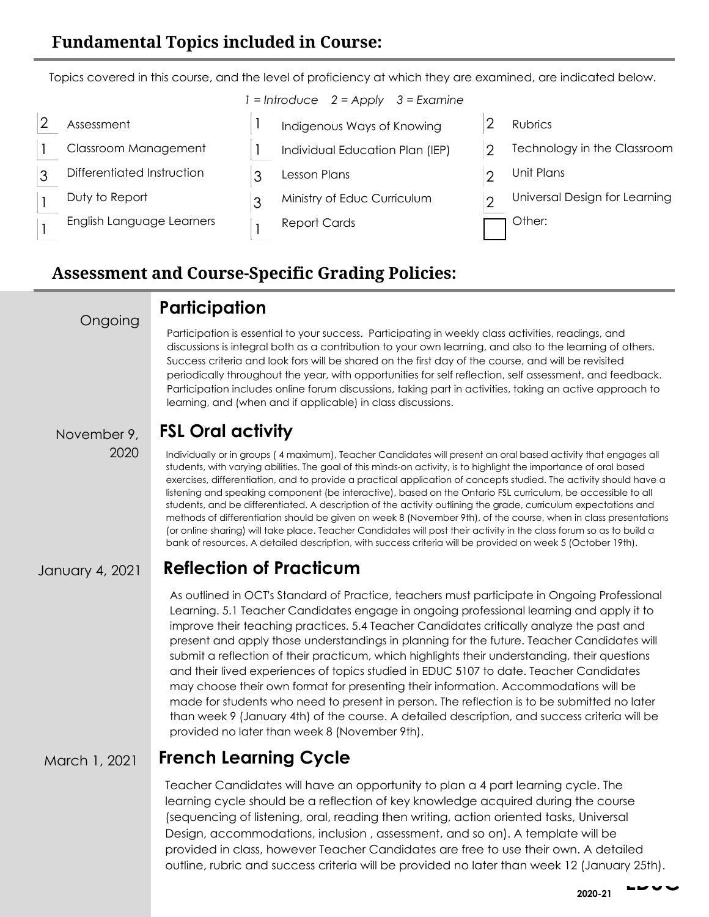Topics covered in this course, and the level of proficiency at which they are examined, are indicated below.

| Assessment                 | Indigenous Ways of Knowing      | <b>Rubrics</b>                |
|----------------------------|---------------------------------|-------------------------------|
| Classroom Management       | Individual Education Plan (IEP) | Technology in the Classroom   |
| Differentiated Instruction | Lesson Plans                    | Unit Plans                    |
| Duty to Report             | Ministry of Educ Curriculum     | Universal Design for Learning |
| English Language Learners  | <b>Report Cards</b>             | Other:                        |

### **Assessment and Course-Specific Grading Policies:**

Ongoing

### **Participation**

Participation is essential to your success. Participating in weekly class activities, readings, and discussions is integral both as a contribution to your own learning, and also to the learning of others. Success criteria and look fors will be shared on the first day of the course, and will be revisited periodically throughout the year, with opportunities for self reflection, self assessment, and feedback. Participation includes online forum discussions, taking part in activities, taking an active approach to learning, and (when and if applicable) in class discussions.

### November 9, <sup>2020</sup> **FSL Oral activity**

Individually or in groups ( 4 maximum), Teacher Candidates will present an oral based activity that engages all students, with varying abilities. The goal of this minds-on activity, is to highlight the importance of oral based exercises, differentiation, and to provide a practical application of concepts studied. The activity should have a listening and speaking component (be interactive), based on the Ontario FSL curriculum, be accessible to all students, and be differentiated. A description of the activity outlining the grade, curriculum expectations and methods of differentiation should be given on week 8 (November 9th), of the course, when in class presentations (or online sharing) will take place. Teacher Candidates will post their activity in the class forum so as to build a bank of resources. A detailed description, with success criteria will be provided on week 5 (October 19th).

#### January 4, 2021 **Reflection of Practicum**

As outlined in OCT's Standard of Practice, teachers must participate in Ongoing Professional Learning. 5.1 Teacher Candidates engage in ongoing professional learning and apply it to improve their teaching practices. 5.4 Teacher Candidates critically analyze the past and present and apply those understandings in planning for the future. Teacher Candidates will submit a reflection of their practicum, which highlights their understanding, their questions and their lived experiences of topics studied in EDUC 5107 to date. Teacher Candidates may choose their own format for presenting their information. Accommodations will be made for students who need to present in person. The reflection is to be submitted no later than week 9 (January 4th) of the course. A detailed description, and success criteria will be provided no later than week 8 (November 9th).

#### March 1, 2021 **French Learning Cycle**

Teacher Candidates will have an opportunity to plan a 4 part learning cycle. The learning cycle should be a reflection of key knowledge acquired during the course (sequencing of listening, oral, reading then writing, action oriented tasks, Universal Design, accommodations, inclusion , assessment, and so on). A template will be provided in class, however Teacher Candidates are free to use their own. A detailed outline, rubric and success criteria will be provided no later than week 12 (January 25th).